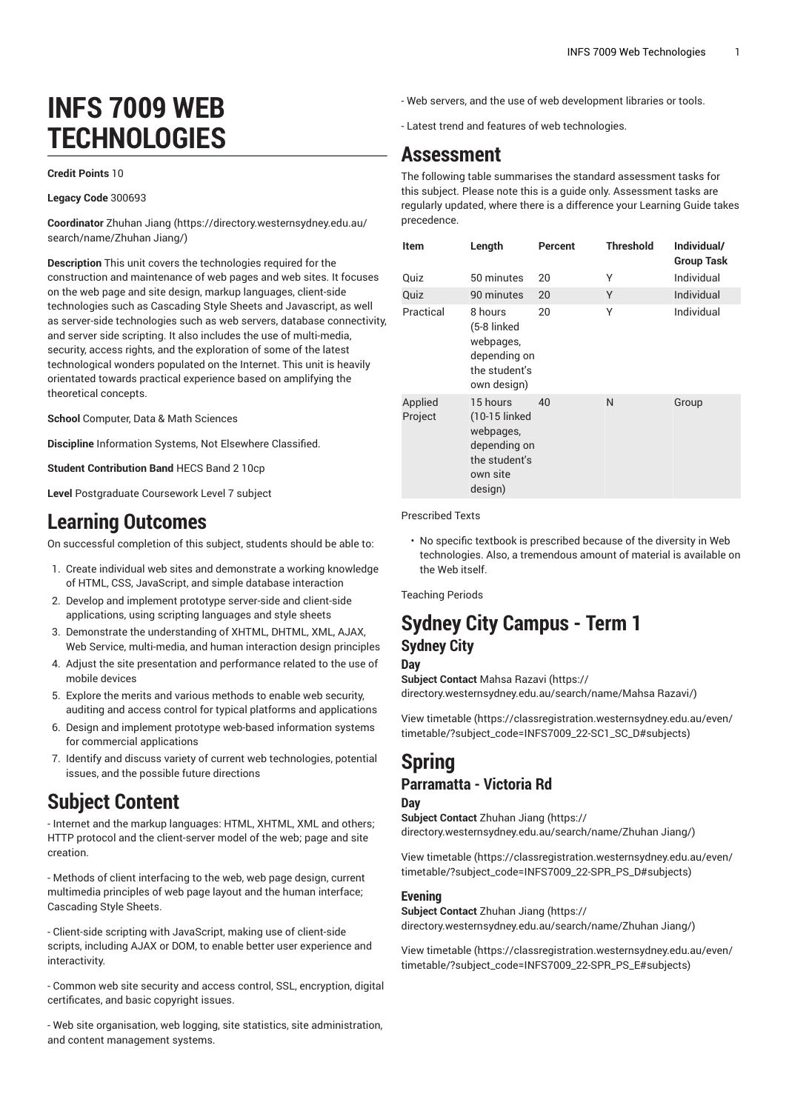# **INFS 7009 WEB TECHNOLOGIES**

#### **Credit Points** 10

#### **Legacy Code** 300693

**Coordinator** [Zhuhan Jiang \(https://directory.westernsydney.edu.au/](https://directory.westernsydney.edu.au/search/name/Zhuhan Jiang/) [search/name/Zhuhan](https://directory.westernsydney.edu.au/search/name/Zhuhan Jiang/) Jiang/)

**Description** This unit covers the technologies required for the construction and maintenance of web pages and web sites. It focuses on the web page and site design, markup languages, client-side technologies such as Cascading Style Sheets and Javascript, as well as server-side technologies such as web servers, database connectivity, and server side scripting. It also includes the use of multi-media, security, access rights, and the exploration of some of the latest technological wonders populated on the Internet. This unit is heavily orientated towards practical experience based on amplifying the theoretical concepts.

**School** Computer, Data & Math Sciences

**Discipline** Information Systems, Not Elsewhere Classified.

**Student Contribution Band** HECS Band 2 10cp

**Level** Postgraduate Coursework Level 7 subject

#### **Learning Outcomes**

On successful completion of this subject, students should be able to:

- 1. Create individual web sites and demonstrate a working knowledge of HTML, CSS, JavaScript, and simple database interaction
- 2. Develop and implement prototype server-side and client-side applications, using scripting languages and style sheets
- 3. Demonstrate the understanding of XHTML, DHTML, XML, AJAX, Web Service, multi-media, and human interaction design principles
- 4. Adjust the site presentation and performance related to the use of mobile devices
- 5. Explore the merits and various methods to enable web security, auditing and access control for typical platforms and applications
- 6. Design and implement prototype web-based information systems for commercial applications
- 7. Identify and discuss variety of current web technologies, potential issues, and the possible future directions

### **Subject Content**

- Internet and the markup languages: HTML, XHTML, XML and others; HTTP protocol and the client-server model of the web; page and site creation.

- Methods of client interfacing to the web, web page design, current multimedia principles of web page layout and the human interface; Cascading Style Sheets.

- Client-side scripting with JavaScript, making use of client-side scripts, including AJAX or DOM, to enable better user experience and interactivity.

- Common web site security and access control, SSL, encryption, digital certificates, and basic copyright issues.

- Web site organisation, web logging, site statistics, site administration, and content management systems.

- Web servers, and the use of web development libraries or tools.
- Latest trend and features of web technologies.

### **Assessment**

The following table summarises the standard assessment tasks for this subject. Please note this is a guide only. Assessment tasks are regularly updated, where there is a difference your Learning Guide takes precedence.

| Item               | Length                                                                                         | Percent | <b>Threshold</b> | Individual/<br><b>Group Task</b> |
|--------------------|------------------------------------------------------------------------------------------------|---------|------------------|----------------------------------|
| Quiz               | 50 minutes                                                                                     | 20      | Υ                | Individual                       |
| Quiz               | 90 minutes                                                                                     | 20      | Υ                | Individual                       |
| Practical          | 8 hours<br>(5-8 linked<br>webpages,<br>depending on<br>the student's<br>own design)            | 20      | Υ                | Individual                       |
| Applied<br>Project | 15 hours<br>(10-15 linked<br>webpages,<br>depending on<br>the student's<br>own site<br>design) | 40      | N                | Group                            |

Prescribed Texts

• No specific textbook is prescribed because of the diversity in Web technologies. Also, a tremendous amount of material is available on the Web itself.

Teaching Periods

#### **Sydney City Campus - Term 1 Sydney City**

#### **Day**

**Subject Contact** [Mahsa](https://directory.westernsydney.edu.au/search/name/Mahsa Razavi/) Razavi ([https://](https://directory.westernsydney.edu.au/search/name/Mahsa Razavi/) [directory.westernsydney.edu.au/search/name/Mahsa](https://directory.westernsydney.edu.au/search/name/Mahsa Razavi/) Razavi/)

[View timetable](https://classregistration.westernsydney.edu.au/even/timetable/?subject_code=INFS7009_22-SC1_SC_D#subjects) [\(https://classregistration.westernsydney.edu.au/even/](https://classregistration.westernsydney.edu.au/even/timetable/?subject_code=INFS7009_22-SC1_SC_D#subjects) [timetable/?subject\\_code=INFS7009\\_22-SC1\\_SC\\_D#subjects\)](https://classregistration.westernsydney.edu.au/even/timetable/?subject_code=INFS7009_22-SC1_SC_D#subjects)

### **Spring Parramatta - Victoria Rd**

**Day**

**Subject Contact** [Zhuhan Jiang](https://directory.westernsydney.edu.au/search/name/Zhuhan Jiang/) ([https://](https://directory.westernsydney.edu.au/search/name/Zhuhan Jiang/) [directory.westernsydney.edu.au/search/name/Zhuhan](https://directory.westernsydney.edu.au/search/name/Zhuhan Jiang/) Jiang/)

[View timetable](https://classregistration.westernsydney.edu.au/even/timetable/?subject_code=INFS7009_22-SPR_PS_D#subjects) [\(https://classregistration.westernsydney.edu.au/even/](https://classregistration.westernsydney.edu.au/even/timetable/?subject_code=INFS7009_22-SPR_PS_D#subjects) [timetable/?subject\\_code=INFS7009\\_22-SPR\\_PS\\_D#subjects\)](https://classregistration.westernsydney.edu.au/even/timetable/?subject_code=INFS7009_22-SPR_PS_D#subjects)

#### **Evening**

**Subject Contact** [Zhuhan Jiang](https://directory.westernsydney.edu.au/search/name/Zhuhan Jiang/) ([https://](https://directory.westernsydney.edu.au/search/name/Zhuhan Jiang/) [directory.westernsydney.edu.au/search/name/Zhuhan](https://directory.westernsydney.edu.au/search/name/Zhuhan Jiang/) Jiang/)

[View timetable](https://classregistration.westernsydney.edu.au/even/timetable/?subject_code=INFS7009_22-SPR_PS_E#subjects) [\(https://classregistration.westernsydney.edu.au/even/](https://classregistration.westernsydney.edu.au/even/timetable/?subject_code=INFS7009_22-SPR_PS_E#subjects) [timetable/?subject\\_code=INFS7009\\_22-SPR\\_PS\\_E#subjects](https://classregistration.westernsydney.edu.au/even/timetable/?subject_code=INFS7009_22-SPR_PS_E#subjects))